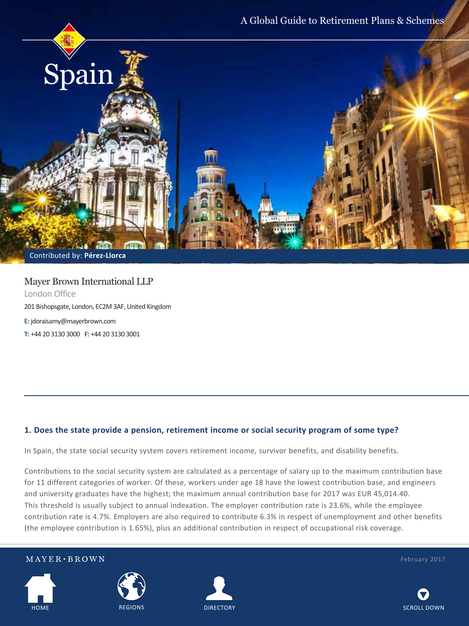

Contributed by: **Pérez-Llorca**

### Mayer Brown International LLP London Office 201 Bishopsgate, London, EC2M 3AF, United Kingdom **E:** jdoraisamy@mayerbrown.com **T:** +44 20 3130 3000 **F:** +44 20 3130 3001

#### **1. Does the state provide a pension, retirement income or social security program of some type?**

In Spain, the state social security system covers retirement income, survivor benefits, and disability benefits.

Contributions to the social security system are calculated as a percentage of salary up to the maximum contribution base for 11 different categories of worker. Of these, workers under age 18 have the lowest contribution base, and engineers and university graduates have the highest; the maximum annual contribution base for 2017 was EUR 45,014.40. This threshold is usually subject to annual indexation. The employer contribution rate is 23.6%, while the employee contribution rate is 4.7%. Employers are also required to contribute 6.3% in respect of unemployment and other benefits (the employee contribution is 1.65%), plus an additional contribution in respect of occupational risk coverage.









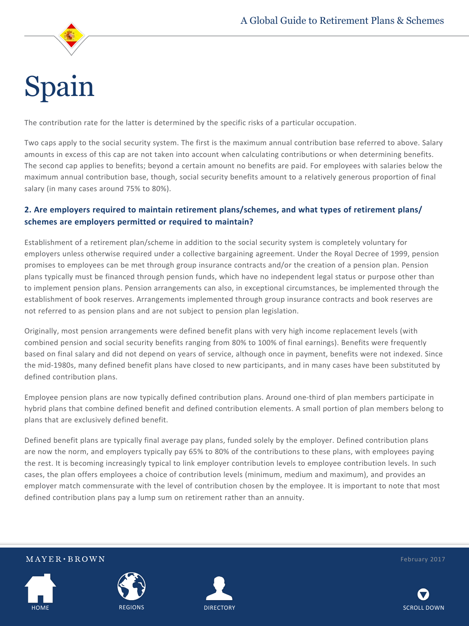

The contribution rate for the latter is determined by the specific risks of a particular occupation.

Two caps apply to the social security system. The first is the maximum annual contribution base referred to above. Salary amounts in excess of this cap are not taken into account when calculating contributions or when determining benefits. The second cap applies to benefits; beyond a certain amount no benefits are paid. For employees with salaries below the maximum annual contribution base, though, social security benefits amount to a relatively generous proportion of final salary (in many cases around 75% to 80%).

#### **2. Are employers required to maintain retirement plans/schemes, and what types of retirement plans/ schemes are employers permitted or required to maintain?**

Establishment of a retirement plan/scheme in addition to the social security system is completely voluntary for employers unless otherwise required under a collective bargaining agreement. Under the Royal Decree of 1999, pension promises to employees can be met through group insurance contracts and/or the creation of a pension plan. Pension plans typically must be financed through pension funds, which have no independent legal status or purpose other than to implement pension plans. Pension arrangements can also, in exceptional circumstances, be implemented through the establishment of book reserves. Arrangements implemented through group insurance contracts and book reserves are not referred to as pension plans and are not subject to pension plan legislation.

Originally, most pension arrangements were defined benefit plans with very high income replacement levels (with combined pension and social security benefits ranging from 80% to 100% of final earnings). Benefits were frequently based on final salary and did not depend on years of service, although once in payment, benefits were not indexed. Since the mid-1980s, many defined benefit plans have closed to new participants, and in many cases have been substituted by defined contribution plans.

Employee pension plans are now typically defined contribution plans. Around one-third of plan members participate in hybrid plans that combine defined benefit and defined contribution elements. A small portion of plan members belong to plans that are exclusively defined benefit.

Defined benefit plans are typically final average pay plans, funded solely by the employer. Defined contribution plans are now the norm, and employers typically pay 65% to 80% of the contributions to these plans, with employees paying the rest. It is becoming increasingly typical to link employer contribution levels to employee contribution levels. In such cases, the plan offers employees a choice of contribution levels (minimum, medium and maximum), and provides an employer match commensurate with the level of contribution chosen by the employee. It is important to note that most defined contribution plans pay a lump sum on retirement rather than an annuity.



 $MAYER \cdot BROWN$ 





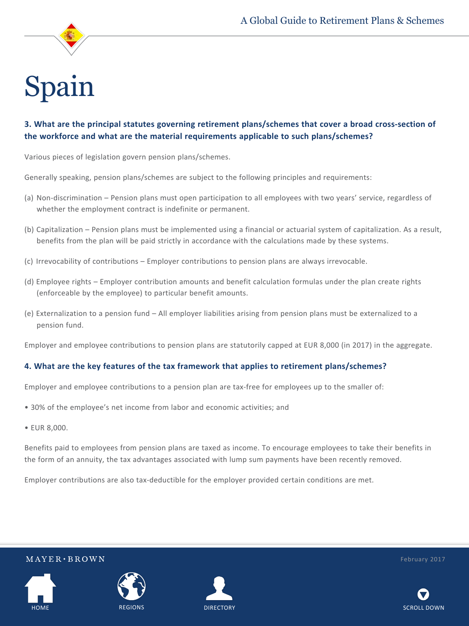

### **3. What are the principal statutes governing retirement plans/schemes that cover a broad cross-section of the workforce and what are the material requirements applicable to such plans/schemes?**

Various pieces of legislation govern pension plans/schemes.

Generally speaking, pension plans/schemes are subject to the following principles and requirements:

- (a) Non-discrimination Pension plans must open participation to all employees with two years' service, regardless of whether the employment contract is indefinite or permanent.
- (b) Capitalization Pension plans must be implemented using a financial or actuarial system of capitalization. As a result, benefits from the plan will be paid strictly in accordance with the calculations made by these systems.
- (c) Irrevocability of contributions Employer contributions to pension plans are always irrevocable.
- (d) Employee rights Employer contribution amounts and benefit calculation formulas under the plan create rights (enforceable by the employee) to particular benefit amounts.
- (e) Externalization to a pension fund All employer liabilities arising from pension plans must be externalized to a pension fund.

Employer and employee contributions to pension plans are statutorily capped at EUR 8,000 (in 2017) in the aggregate.

#### **4. What are the key features of the tax framework that applies to retirement plans/schemes?**

Employer and employee contributions to a pension plan are tax-free for employees up to the smaller of:

- 30% of the employee's net income from labor and economic activities; and
- EUR 8,000.

Benefits paid to employees from pension plans are taxed as income. To encourage employees to take their benefits in the form of an annuity, the tax advantages associated with lump sum payments have been recently removed.

Employer contributions are also tax-deductible for the employer provided certain conditions are met.



 $MAYER \cdot BROWN$ 





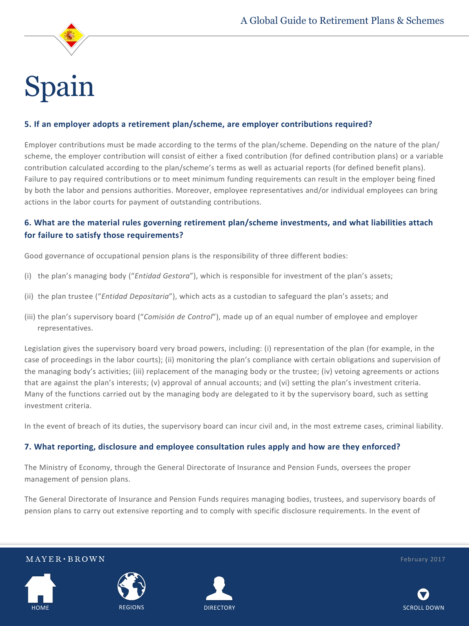

#### **5. If an employer adopts a retirement plan/scheme, are employer contributions required?**

Employer contributions must be made according to the terms of the plan/scheme. Depending on the nature of the plan/ scheme, the employer contribution will consist of either a fixed contribution (for defined contribution plans) or a variable contribution calculated according to the plan/scheme's terms as well as actuarial reports (for defined benefit plans). Failure to pay required contributions or to meet minimum funding requirements can result in the employer being fined by both the labor and pensions authorities. Moreover, employee representatives and/or individual employees can bring actions in the labor courts for payment of outstanding contributions.

#### **6. What are the material rules governing retirement plan/scheme investments, and what liabilities attach for failure to satisfy those requirements?**

Good governance of occupational pension plans is the responsibility of three different bodies:

- (i) the plan's managing body ("*Entidad Gestora*"), which is responsible for investment of the plan's assets;
- (ii) the plan trustee ("*Entidad Depositaria*"), which acts as a custodian to safeguard the plan's assets; and
- (iii) the plan's supervisory board ("*Comisión de Control*"), made up of an equal number of employee and employer representatives.

Legislation gives the supervisory board very broad powers, including: (i) representation of the plan (for example, in the case of proceedings in the labor courts); (ii) monitoring the plan's compliance with certain obligations and supervision of the managing body's activities; (iii) replacement of the managing body or the trustee; (iv) vetoing agreements or actions that are against the plan's interests; (v) approval of annual accounts; and (vi) setting the plan's investment criteria. Many of the functions carried out by the managing body are delegated to it by the supervisory board, such as setting investment criteria.

In the event of breach of its duties, the supervisory board can incur civil and, in the most extreme cases, criminal liability.

#### **7. What reporting, disclosure and employee consultation rules apply and how are they enforced?**

The Ministry of Economy, through the General Directorate of Insurance and Pension Funds, oversees the proper management of pension plans.

The General Directorate of Insurance and Pension Funds requires managing bodies, trustees, and supervisory boards of pension plans to carry out extensive reporting and to comply with specific disclosure requirements. In the event of



 $MAYER \cdot BROWN$ 





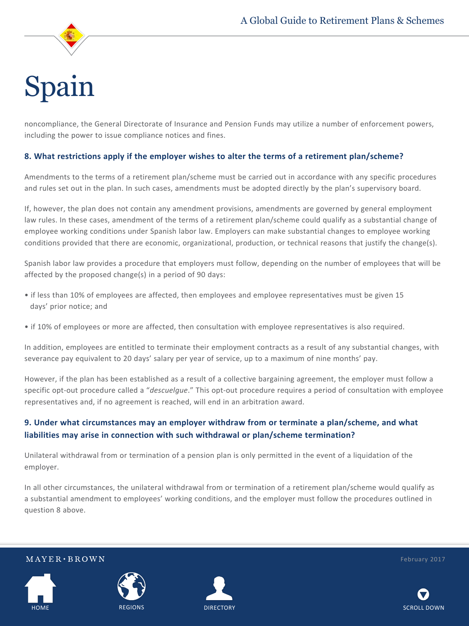

noncompliance, the General Directorate of Insurance and Pension Funds may utilize a number of enforcement powers, including the power to issue compliance notices and fines.

#### **8. What restrictions apply if the employer wishes to alter the terms of a retirement plan/scheme?**

Amendments to the terms of a retirement plan/scheme must be carried out in accordance with any specific procedures and rules set out in the plan. In such cases, amendments must be adopted directly by the plan's supervisory board.

If, however, the plan does not contain any amendment provisions, amendments are governed by general employment law rules. In these cases, amendment of the terms of a retirement plan/scheme could qualify as a substantial change of employee working conditions under Spanish labor law. Employers can make substantial changes to employee working conditions provided that there are economic, organizational, production, or technical reasons that justify the change(s).

Spanish labor law provides a procedure that employers must follow, depending on the number of employees that will be affected by the proposed change(s) in a period of 90 days:

- if less than 10% of employees are affected, then employees and employee representatives must be given 15 days' prior notice; and
- if 10% of employees or more are affected, then consultation with employee representatives is also required.

In addition, employees are entitled to terminate their employment contracts as a result of any substantial changes, with severance pay equivalent to 20 days' salary per year of service, up to a maximum of nine months' pay.

However, if the plan has been established as a result of a collective bargaining agreement, the employer must follow a specific opt-out procedure called a "*descuelgue*." This opt-out procedure requires a period of consultation with employee representatives and, if no agreement is reached, will end in an arbitration award.

#### **9. Under what circumstances may an employer withdraw from or terminate a plan/scheme, and what liabilities may arise in connection with such withdrawal or plan/scheme termination?**

Unilateral withdrawal from or termination of a pension plan is only permitted in the event of a liquidation of the employer.

In all other circumstances, the unilateral withdrawal from or termination of a retirement plan/scheme would qualify as a substantial amendment to employees' working conditions, and the employer must follow the procedures outlined in question 8 above.



 $MAYER \cdot BROWN$